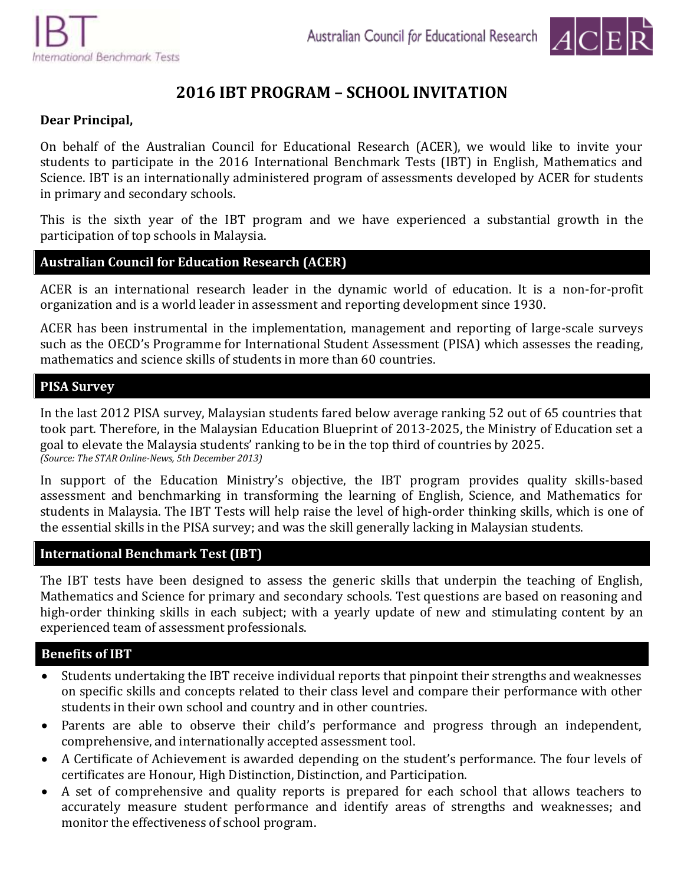

# **2016 IBT PROGRAM – SCHOOL INVITATION**

## **Dear Principal,**

On behalf of the Australian Council for Educational Research (ACER), we would like to invite your students to participate in the 2016 International Benchmark Tests (IBT) in English, Mathematics and Science. IBT is an internationally administered program of assessments developed by ACER for students in primary and secondary schools.

This is the sixth year of the IBT program and we have experienced a substantial growth in the participation of top schools in Malaysia.

#### **Australian Council for Education Research (ACER)**

ACER is an international research leader in the dynamic world of education. It is a non-for-profit organization and is a world leader in assessment and reporting development since 1930.

ACER has been instrumental in the implementation, management and reporting of large-scale surveys such as the OECD's Programme for International Student Assessment (PISA) which assesses the reading, mathematics and science skills of students in more than 60 countries.

## **PISA Survey**

In the last 2012 PISA survey, Malaysian students fared below average ranking 52 out of 65 countries that took part. Therefore, in the Malaysian Education Blueprint of 2013-2025, the Ministry of Education set a goal to elevate the Malaysia students' ranking to be in the top third of countries by 2025. *(Source: The STAR Online-News, 5th December 2013)*

In support of the Education Ministry's objective, the IBT program provides quality skills-based assessment and benchmarking in transforming the learning of English, Science, and Mathematics for students in Malaysia. The IBT Tests will help raise the level of high-order thinking skills, which is one of the essential skills in the PISA survey; and was the skill generally lacking in Malaysian students.

## **International Benchmark Test (IBT)**

The IBT tests have been designed to assess the generic skills that underpin the teaching of English, Mathematics and Science for primary and secondary schools. Test questions are based on reasoning and high-order thinking skills in each subject; with a yearly update of new and stimulating content by an experienced team of assessment professionals.

## **Benefits of IBT**

- Students undertaking the IBT receive individual reports that pinpoint their strengths and weaknesses on specific skills and concepts related to their class level and compare their performance with other students in their own school and country and in other countries.
- Parents are able to observe their child's performance and progress through an independent, comprehensive, and internationally accepted assessment tool.
- A Certificate of Achievement is awarded depending on the student's performance. The four levels of certificates are Honour, High Distinction, Distinction, and Participation.
- A set of comprehensive and quality reports is prepared for each school that allows teachers to accurately measure student performance and identify areas of strengths and weaknesses; and monitor the effectiveness of school program.